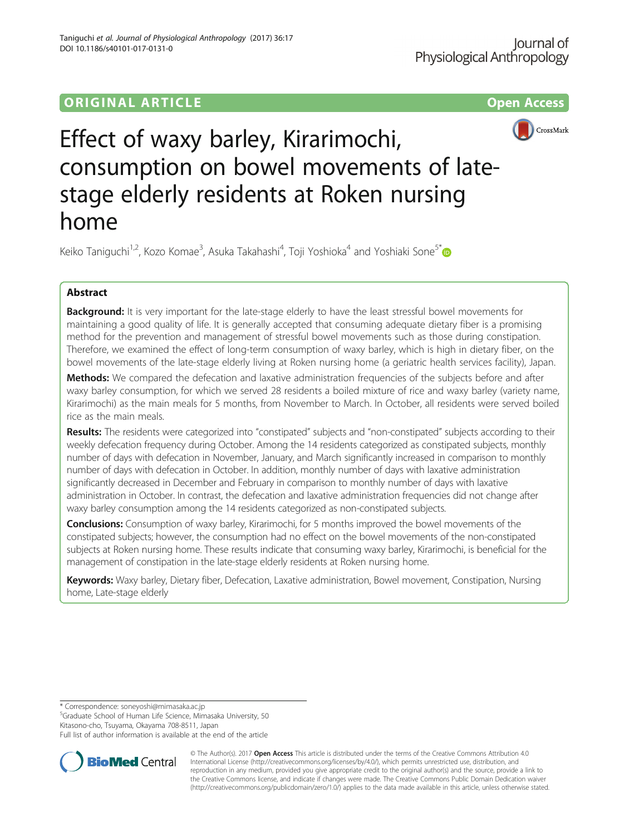# original and the open Access of the Open Access of the Open Access of the Open Access of the Open Access of the O





Effect of waxy barley, Kirarimochi, consumption on bowel movements of latestage elderly residents at Roken nursing home

Keiko Taniguchi<sup>1,2</sup>, Kozo Komae<sup>3</sup>, Asuka Takahashi<sup>4</sup>, Toji Yoshioka<sup>4</sup> and Yoshiaki Sone<sup>5\*</sup>

## Abstract

**Background:** It is very important for the late-stage elderly to have the least stressful bowel movements for maintaining a good quality of life. It is generally accepted that consuming adequate dietary fiber is a promising method for the prevention and management of stressful bowel movements such as those during constipation. Therefore, we examined the effect of long-term consumption of waxy barley, which is high in dietary fiber, on the bowel movements of the late-stage elderly living at Roken nursing home (a geriatric health services facility), Japan.

**Methods:** We compared the defecation and laxative administration frequencies of the subjects before and after waxy barley consumption, for which we served 28 residents a boiled mixture of rice and waxy barley (variety name, Kirarimochi) as the main meals for 5 months, from November to March. In October, all residents were served boiled rice as the main meals.

Results: The residents were categorized into "constipated" subjects and "non-constipated" subjects according to their weekly defecation frequency during October. Among the 14 residents categorized as constipated subjects, monthly number of days with defecation in November, January, and March significantly increased in comparison to monthly number of days with defecation in October. In addition, monthly number of days with laxative administration significantly decreased in December and February in comparison to monthly number of days with laxative administration in October. In contrast, the defecation and laxative administration frequencies did not change after waxy barley consumption among the 14 residents categorized as non-constipated subjects.

**Conclusions:** Consumption of waxy barley, Kirarimochi, for 5 months improved the bowel movements of the constipated subjects; however, the consumption had no effect on the bowel movements of the non-constipated subjects at Roken nursing home. These results indicate that consuming waxy barley, Kirarimochi, is beneficial for the management of constipation in the late-stage elderly residents at Roken nursing home.

Keywords: Waxy barley, Dietary fiber, Defecation, Laxative administration, Bowel movement, Constipation, Nursing home, Late-stage elderly

\* Correspondence: [soneyoshi@mimasaka.ac.jp](mailto:soneyoshi@mimasaka.ac.jp) <sup>5</sup>

Graduate School of Human Life Science, Mimasaka University, 50 Kitasono-cho, Tsuyama, Okayama 708-8511, Japan

Full list of author information is available at the end of the article



© The Author(s). 2017 **Open Access** This article is distributed under the terms of the Creative Commons Attribution 4.0 International License [\(http://creativecommons.org/licenses/by/4.0/](http://creativecommons.org/licenses/by/4.0/)), which permits unrestricted use, distribution, and reproduction in any medium, provided you give appropriate credit to the original author(s) and the source, provide a link to the Creative Commons license, and indicate if changes were made. The Creative Commons Public Domain Dedication waiver [\(http://creativecommons.org/publicdomain/zero/1.0/](http://creativecommons.org/publicdomain/zero/1.0/)) applies to the data made available in this article, unless otherwise stated.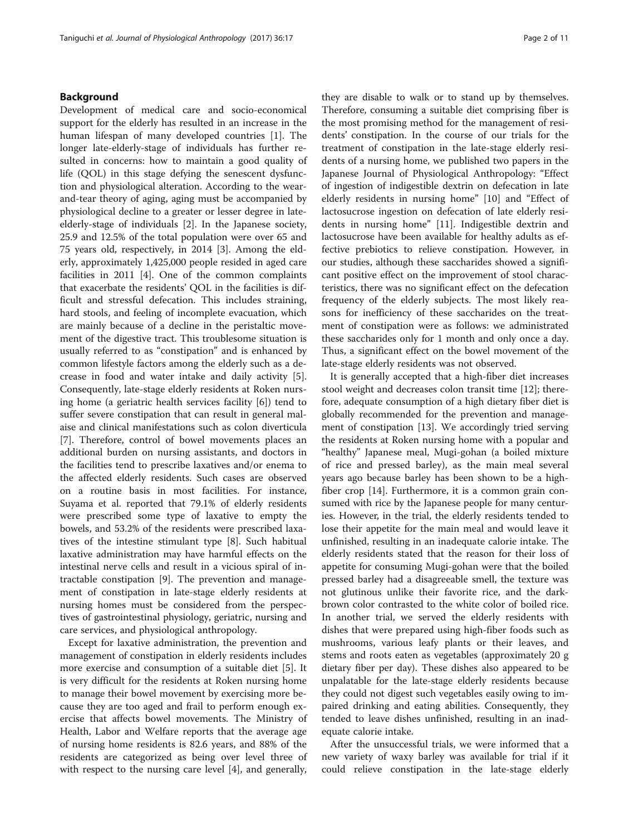### Background

Development of medical care and socio-economical support for the elderly has resulted in an increase in the human lifespan of many developed countries [\[1](#page-9-0)]. The longer late-elderly-stage of individuals has further resulted in concerns: how to maintain a good quality of life (QOL) in this stage defying the senescent dysfunction and physiological alteration. According to the wearand-tear theory of aging, aging must be accompanied by physiological decline to a greater or lesser degree in lateelderly-stage of individuals [\[2](#page-9-0)]. In the Japanese society, 25.9 and 12.5% of the total population were over 65 and 75 years old, respectively, in 2014 [\[3](#page-9-0)]. Among the elderly, approximately 1,425,000 people resided in aged care facilities in 2011 [[4\]](#page-9-0). One of the common complaints that exacerbate the residents' QOL in the facilities is difficult and stressful defecation. This includes straining, hard stools, and feeling of incomplete evacuation, which are mainly because of a decline in the peristaltic movement of the digestive tract. This troublesome situation is usually referred to as "constipation" and is enhanced by common lifestyle factors among the elderly such as a decrease in food and water intake and daily activity [\[5](#page-9-0)]. Consequently, late-stage elderly residents at Roken nursing home (a geriatric health services facility [[6\]](#page-9-0)) tend to suffer severe constipation that can result in general malaise and clinical manifestations such as colon diverticula [[7\]](#page-9-0). Therefore, control of bowel movements places an additional burden on nursing assistants, and doctors in the facilities tend to prescribe laxatives and/or enema to the affected elderly residents. Such cases are observed on a routine basis in most facilities. For instance, Suyama et al. reported that 79.1% of elderly residents were prescribed some type of laxative to empty the bowels, and 53.2% of the residents were prescribed laxatives of the intestine stimulant type [\[8\]](#page-10-0). Such habitual laxative administration may have harmful effects on the intestinal nerve cells and result in a vicious spiral of intractable constipation [[9\]](#page-10-0). The prevention and management of constipation in late-stage elderly residents at nursing homes must be considered from the perspectives of gastrointestinal physiology, geriatric, nursing and care services, and physiological anthropology.

Except for laxative administration, the prevention and management of constipation in elderly residents includes more exercise and consumption of a suitable diet [\[5](#page-9-0)]. It is very difficult for the residents at Roken nursing home to manage their bowel movement by exercising more because they are too aged and frail to perform enough exercise that affects bowel movements. The Ministry of Health, Labor and Welfare reports that the average age of nursing home residents is 82.6 years, and 88% of the residents are categorized as being over level three of with respect to the nursing care level [\[4](#page-9-0)], and generally,

they are disable to walk or to stand up by themselves. Therefore, consuming a suitable diet comprising fiber is the most promising method for the management of residents' constipation. In the course of our trials for the treatment of constipation in the late-stage elderly residents of a nursing home, we published two papers in the Japanese Journal of Physiological Anthropology: "Effect of ingestion of indigestible dextrin on defecation in late elderly residents in nursing home" [\[10\]](#page-10-0) and "Effect of lactosucrose ingestion on defecation of late elderly residents in nursing home" [\[11](#page-10-0)]. Indigestible dextrin and lactosucrose have been available for healthy adults as effective prebiotics to relieve constipation. However, in our studies, although these saccharides showed a significant positive effect on the improvement of stool characteristics, there was no significant effect on the defecation frequency of the elderly subjects. The most likely reasons for inefficiency of these saccharides on the treatment of constipation were as follows: we administrated these saccharides only for 1 month and only once a day. Thus, a significant effect on the bowel movement of the late-stage elderly residents was not observed.

It is generally accepted that a high-fiber diet increases stool weight and decreases colon transit time [[12\]](#page-10-0); therefore, adequate consumption of a high dietary fiber diet is globally recommended for the prevention and management of constipation [[13\]](#page-10-0). We accordingly tried serving the residents at Roken nursing home with a popular and "healthy" Japanese meal, Mugi-gohan (a boiled mixture of rice and pressed barley), as the main meal several years ago because barley has been shown to be a highfiber crop [\[14\]](#page-10-0). Furthermore, it is a common grain consumed with rice by the Japanese people for many centuries. However, in the trial, the elderly residents tended to lose their appetite for the main meal and would leave it unfinished, resulting in an inadequate calorie intake. The elderly residents stated that the reason for their loss of appetite for consuming Mugi-gohan were that the boiled pressed barley had a disagreeable smell, the texture was not glutinous unlike their favorite rice, and the darkbrown color contrasted to the white color of boiled rice. In another trial, we served the elderly residents with dishes that were prepared using high-fiber foods such as mushrooms, various leafy plants or their leaves, and stems and roots eaten as vegetables (approximately 20 g dietary fiber per day). These dishes also appeared to be unpalatable for the late-stage elderly residents because they could not digest such vegetables easily owing to impaired drinking and eating abilities. Consequently, they tended to leave dishes unfinished, resulting in an inadequate calorie intake.

After the unsuccessful trials, we were informed that a new variety of waxy barley was available for trial if it could relieve constipation in the late-stage elderly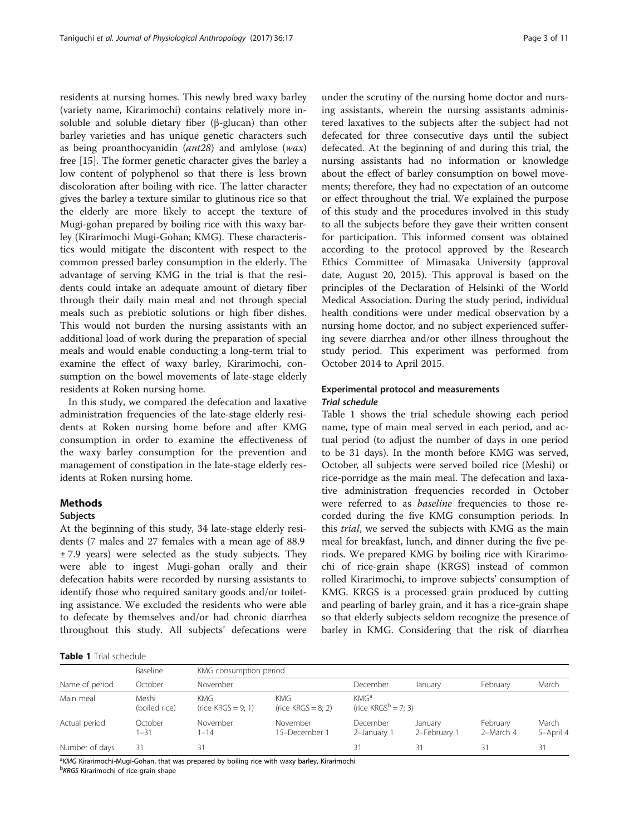<span id="page-2-0"></span>residents at nursing homes. This newly bred waxy barley (variety name, Kirarimochi) contains relatively more insoluble and soluble dietary fiber (β-glucan) than other barley varieties and has unique genetic characters such as being proanthocyanidin (ant28) and amlylose (wax) free [\[15](#page-10-0)]. The former genetic character gives the barley a low content of polyphenol so that there is less brown discoloration after boiling with rice. The latter character gives the barley a texture similar to glutinous rice so that the elderly are more likely to accept the texture of Mugi-gohan prepared by boiling rice with this waxy barley (Kirarimochi Mugi-Gohan; KMG). These characteristics would mitigate the discontent with respect to the common pressed barley consumption in the elderly. The advantage of serving KMG in the trial is that the residents could intake an adequate amount of dietary fiber through their daily main meal and not through special meals such as prebiotic solutions or high fiber dishes. This would not burden the nursing assistants with an additional load of work during the preparation of special meals and would enable conducting a long-term trial to examine the effect of waxy barley, Kirarimochi, consumption on the bowel movements of late-stage elderly residents at Roken nursing home.

In this study, we compared the defecation and laxative administration frequencies of the late-stage elderly residents at Roken nursing home before and after KMG consumption in order to examine the effectiveness of the waxy barley consumption for the prevention and management of constipation in the late-stage elderly residents at Roken nursing home.

### Methods

#### **Subjects**

At the beginning of this study, 34 late-stage elderly residents (7 males and 27 females with a mean age of 88.9  $\pm$  7.9 years) were selected as the study subjects. They were able to ingest Mugi-gohan orally and their defecation habits were recorded by nursing assistants to identify those who required sanitary goods and/or toileting assistance. We excluded the residents who were able to defecate by themselves and/or had chronic diarrhea throughout this study. All subjects' defecations were

under the scrutiny of the nursing home doctor and nursing assistants, wherein the nursing assistants administered laxatives to the subjects after the subject had not

defecated for three consecutive days until the subject defecated. At the beginning of and during this trial, the nursing assistants had no information or knowledge about the effect of barley consumption on bowel movements; therefore, they had no expectation of an outcome or effect throughout the trial. We explained the purpose of this study and the procedures involved in this study to all the subjects before they gave their written consent for participation. This informed consent was obtained according to the protocol approved by the Research Ethics Committee of Mimasaka University (approval date, August 20, 2015). This approval is based on the principles of the Declaration of Helsinki of the World Medical Association. During the study period, individual health conditions were under medical observation by a nursing home doctor, and no subject experienced suffering severe diarrhea and/or other illness throughout the study period. This experiment was performed from October 2014 to April 2015.

### Experimental protocol and measurements Trial schedule

Table 1 shows the trial schedule showing each period name, type of main meal served in each period, and actual period (to adjust the number of days in one period to be 31 days). In the month before KMG was served, October, all subjects were served boiled rice (Meshi) or rice-porridge as the main meal. The defecation and laxative administration frequencies recorded in October were referred to as baseline frequencies to those recorded during the five KMG consumption periods. In this trial, we served the subjects with KMG as the main meal for breakfast, lunch, and dinner during the five periods. We prepared KMG by boiling rice with Kirarimochi of rice-grain shape (KRGS) instead of common rolled Kirarimochi, to improve subjects' consumption of KMG. KRGS is a processed grain produced by cutting and pearling of barley grain, and it has a rice-grain shape so that elderly subjects seldom recognize the presence of barley in KMG. Considering that the risk of diarrhea

| Table 1 Trial schedule |  |
|------------------------|--|
|------------------------|--|

|                | <b>Baseline</b>        | KMG consumption period             |                                     |                                             |                         |                       |                    |
|----------------|------------------------|------------------------------------|-------------------------------------|---------------------------------------------|-------------------------|-----------------------|--------------------|
| Name of period | October                | November                           |                                     | December                                    | Januarv                 | February              | March              |
| Main meal      | Meshi<br>(boiled rice) | <b>KMG</b><br>$(rice KRGS = 9; 1)$ | <b>KMG</b><br>(rice $KRGS = 8; 2$ ) | KM <sub>G</sub> a<br>(rice $K RGSb = 7:3$ ) |                         |                       |                    |
| Actual period  | October<br>$1 - 31$    | November<br>$1 - 14$               | November<br>15-December 1           | December<br>2-January 1                     | January<br>2-February 1 | February<br>2-March 4 | March<br>5-April 4 |
| Number of days | 31                     | 31                                 |                                     | 31                                          | 31                      | 31                    | 31                 |

<sup>a</sup>KMG Kirarimochi-Mugi-Gohan, that was prepared by boiling rice with waxy barley, Kirarimochi<br><sup>b</sup>KRGS Kirarimochi of rice-grain shape

<sup>b</sup>KRGS Kirarimochi of rice-grain shape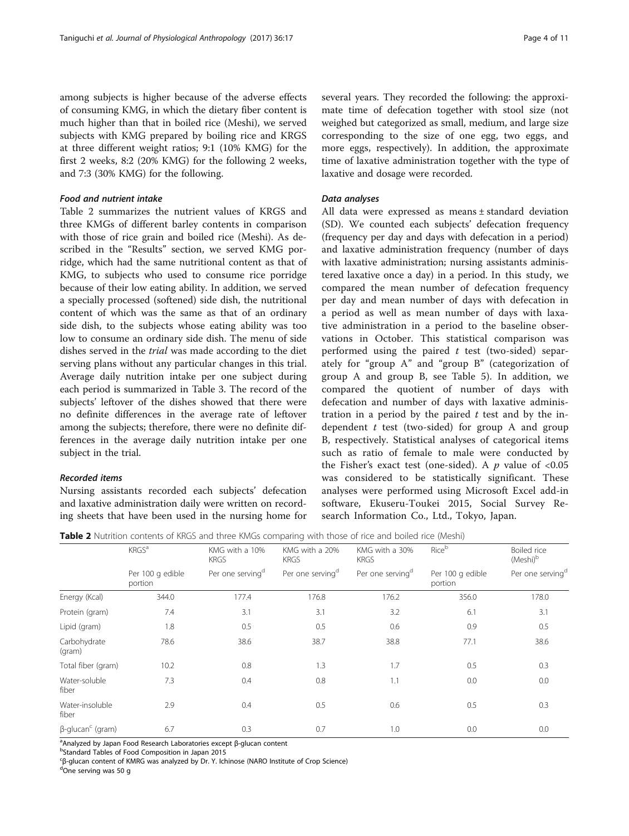<span id="page-3-0"></span>among subjects is higher because of the adverse effects of consuming KMG, in which the dietary fiber content is much higher than that in boiled rice (Meshi), we served subjects with KMG prepared by boiling rice and KRGS at three different weight ratios; 9:1 (10% KMG) for the first 2 weeks, 8:2 (20% KMG) for the following 2 weeks, and 7:3 (30% KMG) for the following.

### Food and nutrient intake

Table 2 summarizes the nutrient values of KRGS and three KMGs of different barley contents in comparison with those of rice grain and boiled rice (Meshi). As described in the "[Results](#page-4-0)" section, we served KMG porridge, which had the same nutritional content as that of KMG, to subjects who used to consume rice porridge because of their low eating ability. In addition, we served a specially processed (softened) side dish, the nutritional content of which was the same as that of an ordinary side dish, to the subjects whose eating ability was too low to consume an ordinary side dish. The menu of side dishes served in the trial was made according to the diet serving plans without any particular changes in this trial. Average daily nutrition intake per one subject during each period is summarized in Table [3.](#page-4-0) The record of the subjects' leftover of the dishes showed that there were no definite differences in the average rate of leftover among the subjects; therefore, there were no definite differences in the average daily nutrition intake per one subject in the trial.

### Recorded items

Nursing assistants recorded each subjects' defecation and laxative administration daily were written on recording sheets that have been used in the nursing home for several years. They recorded the following: the approximate time of defecation together with stool size (not weighed but categorized as small, medium, and large size corresponding to the size of one egg, two eggs, and more eggs, respectively). In addition, the approximate time of laxative administration together with the type of laxative and dosage were recorded.

### Data analyses

All data were expressed as means ± standard deviation (SD). We counted each subjects' defecation frequency (frequency per day and days with defecation in a period) and laxative administration frequency (number of days with laxative administration; nursing assistants administered laxative once a day) in a period. In this study, we compared the mean number of defecation frequency per day and mean number of days with defecation in a period as well as mean number of days with laxative administration in a period to the baseline observations in October. This statistical comparison was performed using the paired  $t$  test (two-sided) separately for "group A" and "group B" (categorization of group A and group B, see Table [5\)](#page-7-0). In addition, we compared the quotient of number of days with defecation and number of days with laxative administration in a period by the paired  $t$  test and by the independent  $t$  test (two-sided) for group A and group B, respectively. Statistical analyses of categorical items such as ratio of female to male were conducted by the Fisher's exact test (one-sided). A  $p$  value of <0.05 was considered to be statistically significant. These analyses were performed using Microsoft Excel add-in software, Ekuseru-Toukei 2015, Social Survey Research Information Co., Ltd., Tokyo, Japan.

Table 2 Nutrition contents of KRGS and three KMGs comparing with those of rice and boiled rice (Meshi)

|                                     | <b>KRGS</b> <sup>a</sup>    | KMG with a 10%<br><b>KRGS</b> | KMG with a 20%<br><b>KRGS</b> | KMG with a 30%<br><b>KRGS</b> | Riceb                       | Boiled rice<br>(Meshi) <sup>b</sup> |
|-------------------------------------|-----------------------------|-------------------------------|-------------------------------|-------------------------------|-----------------------------|-------------------------------------|
|                                     | Per 100 g edible<br>portion | Per one serving <sup>d</sup>  | Per one serving <sup>d</sup>  | Per one serving <sup>d</sup>  | Per 100 g edible<br>portion | Per one serving <sup>d</sup>        |
| Energy (Kcal)                       | 344.0                       | 177.4                         | 176.8                         | 176.2                         | 356.0                       | 178.0                               |
| Protein (gram)                      | 7.4                         | 3.1                           | 3.1                           | 3.2                           | 6.1                         | 3.1                                 |
| Lipid (gram)                        | 1.8                         | 0.5                           | 0.5                           | 0.6                           | 0.9                         | 0.5                                 |
| Carbohydrate<br>(gram)              | 78.6                        | 38.6                          | 38.7                          | 38.8                          | 77.1                        | 38.6                                |
| Total fiber (gram)                  | 10.2                        | 0.8                           | 1.3                           | 1.7                           | 0.5                         | 0.3                                 |
| Water-soluble<br>fiber              | 7.3                         | 0.4                           | 0.8                           | 1.1                           | 0.0                         | 0.0                                 |
| Water-insoluble<br>fiber            | 2.9                         | 0.4                           | 0.5                           | 0.6                           | 0.5                         | 0.3                                 |
| $\beta$ -glucan <sup>c</sup> (gram) | 6.7                         | 0.3                           | 0.7                           | 1.0                           | 0.0                         | 0.0                                 |

a<br>Analyzed by Japan Food Research Laboratories except β-glucan content<br>bstandard Tables of Food Composition in Japan 2015

Standard Tables of Food Composition in Japan 2015

<sup>c</sup>β-glucan content of KMRG was analyzed by Dr. Y. Ichinose (NARO Institute of Crop Science)<br><sup>d</sup>One serving was 50 g

dOne serving was 50 g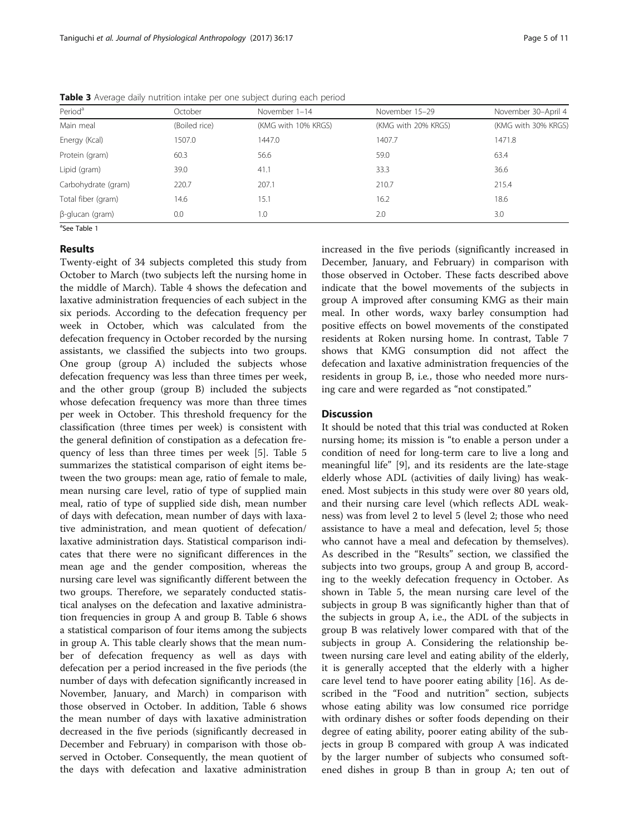| Period <sup>a</sup>    | October       | November 1-14       | November 15-29      | November 30-April 4 |
|------------------------|---------------|---------------------|---------------------|---------------------|
| Main meal              | (Boiled rice) | (KMG with 10% KRGS) | (KMG with 20% KRGS) | (KMG with 30% KRGS) |
| Energy (Kcal)          | 1507.0        | 1447.0              | 1407.7              | 1471.8              |
| Protein (gram)         | 60.3          | 56.6                | 59.0                | 63.4                |
| Lipid (gram)           | 39.0          | 41.1                | 33.3                | 36.6                |
| Carbohydrate (gram)    | 220.7         | 207.1               | 210.7               | 215.4               |
| Total fiber (gram)     | 14.6          | 15.1                | 16.2                | 18.6                |
| $\beta$ -glucan (gram) | 0.0           | 1.0                 | 2.0                 | 3.0                 |
|                        |               |                     |                     |                     |

<span id="page-4-0"></span>Table 3 Average daily nutrition intake per one subject during each period

<sup>a</sup>See Table [1](#page-2-0)

#### Results

Twenty-eight of 34 subjects completed this study from October to March (two subjects left the nursing home in the middle of March). Table [4](#page-5-0) shows the defecation and laxative administration frequencies of each subject in the six periods. According to the defecation frequency per week in October, which was calculated from the defecation frequency in October recorded by the nursing assistants, we classified the subjects into two groups. One group (group A) included the subjects whose defecation frequency was less than three times per week, and the other group (group B) included the subjects whose defecation frequency was more than three times per week in October. This threshold frequency for the classification (three times per week) is consistent with the general definition of constipation as a defecation frequency of less than three times per week [\[5\]](#page-9-0). Table [5](#page-7-0) summarizes the statistical comparison of eight items between the two groups: mean age, ratio of female to male, mean nursing care level, ratio of type of supplied main meal, ratio of type of supplied side dish, mean number of days with defecation, mean number of days with laxative administration, and mean quotient of defecation/ laxative administration days. Statistical comparison indicates that there were no significant differences in the mean age and the gender composition, whereas the nursing care level was significantly different between the two groups. Therefore, we separately conducted statistical analyses on the defecation and laxative administration frequencies in group A and group B. Table [6](#page-7-0) shows a statistical comparison of four items among the subjects in group A. This table clearly shows that the mean number of defecation frequency as well as days with defecation per a period increased in the five periods (the number of days with defecation significantly increased in November, January, and March) in comparison with those observed in October. In addition, Table [6](#page-7-0) shows the mean number of days with laxative administration decreased in the five periods (significantly decreased in December and February) in comparison with those observed in October. Consequently, the mean quotient of the days with defecation and laxative administration increased in the five periods (significantly increased in December, January, and February) in comparison with those observed in October. These facts described above indicate that the bowel movements of the subjects in group A improved after consuming KMG as their main meal. In other words, waxy barley consumption had positive effects on bowel movements of the constipated residents at Roken nursing home. In contrast, Table [7](#page-8-0) shows that KMG consumption did not affect the defecation and laxative administration frequencies of the residents in group B, i.e., those who needed more nursing care and were regarded as "not constipated."

### **Discussion**

It should be noted that this trial was conducted at Roken nursing home; its mission is "to enable a person under a condition of need for long-term care to live a long and meaningful life" [\[9](#page-10-0)], and its residents are the late-stage elderly whose ADL (activities of daily living) has weakened. Most subjects in this study were over 80 years old, and their nursing care level (which reflects ADL weakness) was from level 2 to level 5 (level 2; those who need assistance to have a meal and defecation, level 5; those who cannot have a meal and defecation by themselves). As described in the "Results" section, we classified the subjects into two groups, group A and group B, according to the weekly defecation frequency in October. As shown in Table [5,](#page-7-0) the mean nursing care level of the subjects in group B was significantly higher than that of the subjects in group A, i.e., the ADL of the subjects in group B was relatively lower compared with that of the subjects in group A. Considering the relationship between nursing care level and eating ability of the elderly, it is generally accepted that the elderly with a higher care level tend to have poorer eating ability [\[16](#page-10-0)]. As described in the "[Food and nutrition](#page-3-0)" section, subjects whose eating ability was low consumed rice porridge with ordinary dishes or softer foods depending on their degree of eating ability, poorer eating ability of the subjects in group B compared with group A was indicated by the larger number of subjects who consumed softened dishes in group B than in group A; ten out of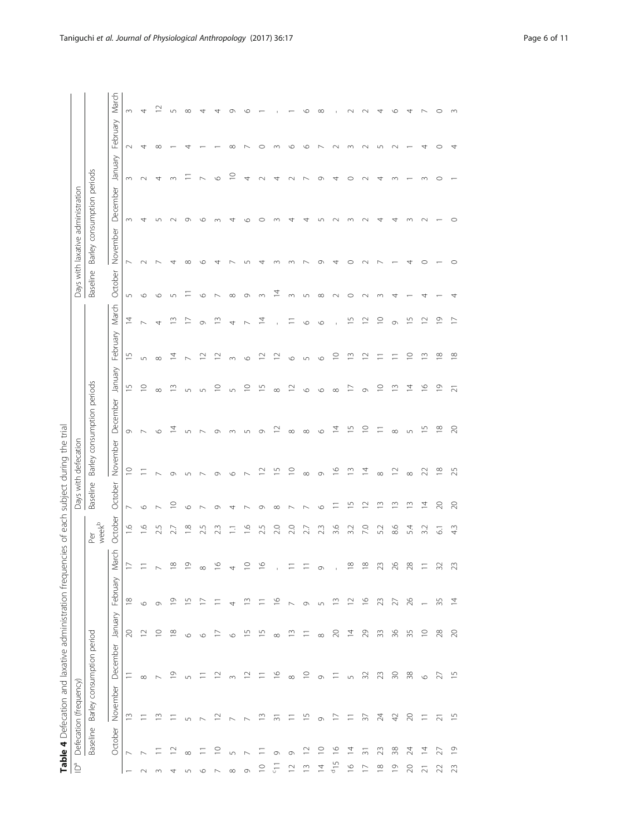| 5<br>I                  |
|-------------------------|
| ì<br>ĵ.                 |
| J<br>1<br>Ì             |
|                         |
|                         |
| J)<br>j                 |
| ļ                       |
| j                       |
| 5<br>٦                  |
|                         |
| ∫<br>₽<br>I             |
| í,<br>J                 |
|                         |
| ş<br>Í                  |
| $\overline{\mathbf{S}}$ |
| each                    |
|                         |
| t<br>C                  |
| 5                       |
|                         |
| )<br>j<br>ă             |
| j<br>C                  |
| $\tilde{c}$             |
| J<br>į                  |
| Š<br>5                  |
| j<br>ì                  |
|                         |
| $\overline{\Omega}$     |
| )<br>ここ ハート・コード<br>í    |
| i<br>i<br>j             |
|                         |
|                         |
| $\ddot{\phantom{a}}$    |
| Į                       |
| ī<br>5                  |
| j                       |
| J.<br>$\sum_{i=1}^n$    |
|                         |
| ;<br>;                  |
| j<br>i<br>Ï             |
|                         |
| ĺ<br>٢<br>٤             |
| ł                       |
|                         |
| j                       |
|                         |
| j                       |
| うじりし<br>I               |
| ij                      |
| $\overline{a}$          |
| $\vdots$<br>4           |
|                         |
| <br> }<br> }<br>이션<br>ï |
|                         |
|                         |
| I<br>í                  |

<span id="page-5-0"></span>

|                                                        |                          | Table 4 Defecation and laxative administration frequencies |                           |                         |                         |                          |                |           | of each subject during the trial |                            |                   |                    |                    |                |          |                                   |         |          |                |
|--------------------------------------------------------|--------------------------|------------------------------------------------------------|---------------------------|-------------------------|-------------------------|--------------------------|----------------|-----------|----------------------------------|----------------------------|-------------------|--------------------|--------------------|----------------|----------|-----------------------------------|---------|----------|----------------|
| $\overset{\circ}{\underline{\ensuremath{\mathsf{D}}}}$ |                          | Defecation (frequency)                                     |                           |                         |                         |                          |                |           | Days with defecation             |                            |                   |                    |                    |                |          | Days with laxative administration |         |          |                |
|                                                        | Baseline                 |                                                            | Barley consumption period |                         |                         |                          | weekb<br>Per   | Baseline  |                                  | Barley consumption periods |                   |                    |                    | Baseline       |          | Barley consumption periods        |         |          |                |
|                                                        | October                  | November                                                   | December                  | January                 | February                | March                    | October        | October   | November                         | December                   | January           | February           | March              | October        | November | December                          | January | February | March          |
|                                                        | $\overline{\phantom{0}}$ | $\widetilde{\Box}$                                         | Ξ                         | $\gtrsim$               | $\frac{\infty}{\infty}$ |                          | $\circ$        | ↖         | $\supseteq$                      | $\circ$                    | $\overline{5}$    | $\overline{15}$    | $\overline{4}$     | $\overline{5}$ | ↖        | $\sim$                            | S       | $\sim$   | $\sim$         |
| $\sim$                                                 |                          |                                                            | $\infty$                  | $\simeq$                | $\circ$                 |                          | Q.             | $\circ$   |                                  | $\sim$                     | $\supseteq$       | $\overline{5}$     | $\overline{ }$     | $\circ$        | $\sim$   | 4                                 | $\sim$  | 4        | 4              |
| $\infty$                                               | Ξ                        | $\frac{3}{2}$                                              | $\sim$                    | $\supseteq$             | $\circ$                 | $\overline{\phantom{0}}$ | 25             |           |                                  | $\circ$                    | $\infty$          | $\infty$           | 4                  | $\circ$        |          |                                   |         | $\infty$ | $\mathop{=}$   |
| 4                                                      | $\approx$                |                                                            | $\overline{\circ}$        | $\frac{\infty}{\infty}$ | $\overline{\circ}$      | $\infty$                 | 27             | 0         | Q                                | ⊻                          | $\tilde{\Xi}$     | $\overline{4}$     | $\sim$             | 5              | 4        |                                   |         |          | $\overline{5}$ |
| 5                                                      | $\infty$                 | $\mathsf{L}\cap$                                           | $\sqrt{2}$                | $\circ$                 | $\overline{1}$          | $\overline{0}$           | $\infty$       | O         | 5                                | 5                          | $\sqrt{2}$        |                    | ⊵                  |                | $\infty$ | σ                                 |         |          | $\infty$       |
| $\circ$                                                |                          | $\sim$                                                     | Ξ                         | $\circ$                 | ₽                       | $\infty$                 | 25             |           |                                  |                            | 5                 | $\mathop{^{\sim}}$ | G                  | ७              | ৩        |                                   |         |          |                |
| $\sim$                                                 | $\supseteq$              | $\approx$                                                  | $\simeq$                  |                         | Ξ                       | $\tilde{e}$              | 23             | σ         | Q                                | G                          | $\supseteq$       | $\approx$          | $\frac{3}{2}$      |                | ₹        |                                   | ७       |          |                |
| $\infty$                                               | $\overline{5}$           | $\overline{\phantom{0}}$                                   | $\sim$                    | $\circ$                 | 4                       | 4                        | Ξ              | ₹         | $\circ$                          | $\infty$                   | $\overline{5}$    | $\infty$           | 4                  | $\infty$       |          |                                   | o       |          | σ              |
| $\sigma$                                               |                          | $\sim$                                                     | $\simeq$                  | $\frac{5}{1}$           | $\tilde{=}$             | $\supseteq$              | $\frac{6}{1}$  |           |                                  | $\sqrt{ }$                 | $\supseteq$       | $\circ$            |                    | Q              | LΓ       |                                   | ↤       |          | K.             |
| $\supseteq$                                            | Ξ                        | $\tilde{=}$                                                | Ξ                         | $\overline{15}$         | $\equiv$                | $\frac{8}{1}$            | 25             | G         | $\mathbf{C}$                     | $\circ$                    | $\overline{1}$    | $\mathop{^{\sim}}$ | Ξ                  | $\sim$         | ₹        |                                   |         |          |                |
| $\overline{1}$                                         | $\circ$                  | $\overline{5}$                                             | $\frac{\infty}{\infty}$   | $\infty$                | $\frac{6}{1}$           |                          | 2.0            | $\infty$  | $\frac{5}{1}$                    | $\simeq$                   | $\infty$          | $\overline{12}$    |                    | 4              |          |                                   |         |          |                |
| $\overline{12}$                                        | G                        |                                                            | $\infty$                  | ≘                       | $\sim$                  |                          | 20             |           | ≘                                | $\infty$                   | $\supseteq$       | $\circ$            |                    | m              |          |                                   |         | ©        |                |
| $\frac{1}{2}$                                          | $\supseteq$              | $\frac{5}{1}$                                              | $\supseteq$               | Ξ                       | $\circ$                 |                          | 27             |           | $\infty$                         | $\infty$                   | $\circ$           | $\sqrt{2}$         | $\circ$            | 5              |          | ₹                                 |         | ७        | ৩              |
| $\overline{4}$                                         | $\supseteq$              | $\circ$                                                    | $\circlearrowright$       | $\infty$                | $\overline{5}$          | $\circ$                  | 23             | $\circ$   | Q                                | $\circ$                    | $\circ$           | $\circ$            | $\circ$            | $\infty$       | σ        |                                   | σ       |          | $\infty$       |
| $\frac{1}{9}$                                          | $\approx$                | $\overline{C}$                                             | Ξ                         | $\approx$               | $\frac{1}{1}$           | $\mathbf{r}$             | 3.6            |           | $\frac{6}{1}$                    | $\overline{4}$             | $\infty$          | $\supseteq$        |                    |                |          |                                   |         |          |                |
| $\frac{8}{1}$                                          | $\overline{4}$           |                                                            | $\sqrt{2}$                | $\overline{4}$          | $\supseteq$             | $\frac{\infty}{\infty}$  | 32             | ഗ         | ≘                                | $\overline{5}$             | $\geq$            | $\tilde{=}$        | $\frac{5}{1}$      | c              | C        |                                   | ⊂       |          |                |
| $\overline{1}$                                         | $\overline{5}$           | $\approx$                                                  | 32                        | 29                      | $\frac{6}{1}$           | $\frac{8}{10}$           | $\overline{2}$ | $\sim$    | 与                                | $\supseteq$                | $\circ$           | $\mathop{^{\sim}}$ | $\mathop{^{\sim}}$ |                |          |                                   |         |          |                |
| $\approx$                                              | 23                       | $\overline{z}$                                             | 23                        | 33                      | 23                      | $\mathbb{Z}^3$           | 52             | S         | $\infty$                         |                            | $\supseteq$       |                    | $\supseteq$        |                |          |                                   |         |          |                |
| $\overline{0}$                                         | 38                       | $\overline{4}$                                             | $\approx$                 | 36                      | 27                      | 26                       | 86             | S         | $\approx$                        | ${}^{\infty}$              | ≘                 | Ξ                  | $\circ$            |                |          | ₹                                 |         |          | ৩              |
| $\gtrsim$                                              | $\overline{24}$          | $\overline{c}$                                             | 38                        | 35                      | 26                      | $\approx$                | 54             | S         | $\infty$                         | $\sqrt{2}$                 | Ξ                 | $\subseteq$        | $\overline{1}$     |                |          |                                   |         |          |                |
| $\overline{2}1$                                        | $\overline{4}$           | Ξ                                                          | $\circ$                   | $\supseteq$             |                         | $\equiv$                 | 32             | Ξ         | 22                               | $\overline{5}$             | $\frac{6}{1}$     | $\tilde{=}$        | $\approx$          | 4              | ◠        |                                   |         |          |                |
| 22                                                     | 27                       | $\overline{\sim}$                                          | 27                        | 28                      | 35                      | $\approx$                | $\overline{6}$ | $\approx$ | $\frac{8}{10}$                   | $\frac{8}{10}$             | $\overline{0}$    | $\approx$          | $\overline{0}$     |                |          |                                   | C       | C        | ⊂              |
| 23                                                     | $\overline{0}$           | $\overline{1}$                                             | $\frac{1}{2}$             | $\gtrsim$               | $\overline{4}$          | 23                       | 43             | $\infty$  | 25                               | $\gtrsim$                  | $\overline{\sim}$ | $\approx$          | $\overline{1}$     |                | C        |                                   |         |          |                |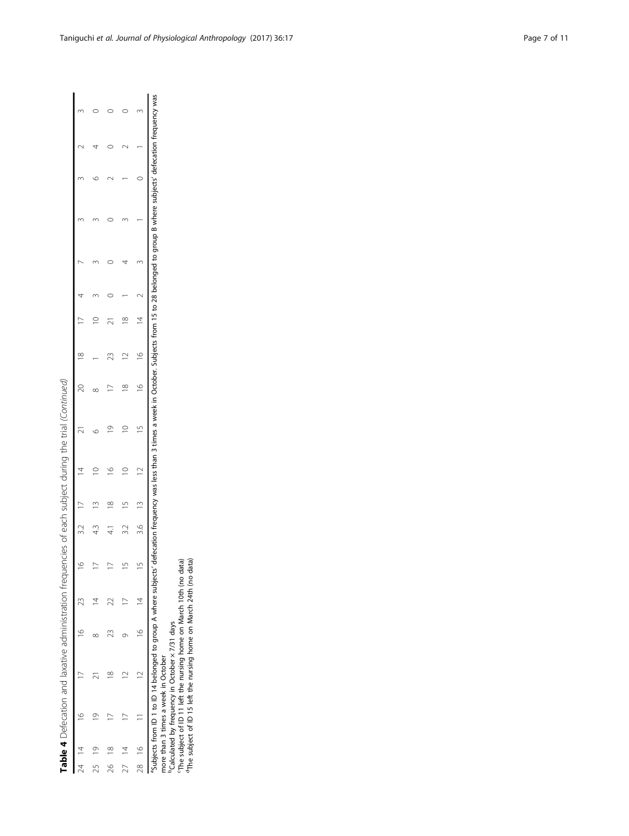| ś<br>j<br>,<br>ı                 |  |
|----------------------------------|--|
| ì<br>۱                           |  |
| S<br>١                           |  |
| $\overline{v}$                   |  |
| ת<br>.                           |  |
| 5<br>7<br>Í<br>j                 |  |
| j<br>ţ<br>$\frac{1}{2}$<br>j     |  |
| i<br>١<br>Ï<br>りり<br>Ċ<br>ì<br>l |  |
| )                                |  |
| )<br>j<br>í<br>l<br>İ            |  |
| S<br>ÿ<br>į<br>j<br>j<br>ī<br>١  |  |
| J<br>Ì<br>i                      |  |
| ţ<br>$\frac{1}{2}$<br>İ          |  |
| 5                                |  |
| J                                |  |
| ţ<br>ś<br>ì<br>ï                 |  |
| )<br>5<br>5                      |  |
| Ì<br>١<br>ï<br>I                 |  |
| j<br>1.<br>ī<br>١<br>I           |  |
| ₫                                |  |
| able<br>Ė                        |  |

|         |   |              |        |                                  | vas                                                                                       |
|---------|---|--------------|--------|----------------------------------|-------------------------------------------------------------------------------------------|
|         |   |              |        |                                  |                                                                                           |
|         |   |              |        |                                  | ecation f                                                                                 |
|         |   | J            |        |                                  |                                                                                           |
|         |   |              |        |                                  | here sub                                                                                  |
|         |   |              |        |                                  | cy was less than 3 times a week in October. Subjects from 15 to 28 belonged to group B wh |
|         |   |              |        | J                                |                                                                                           |
|         |   | J            |        |                                  |                                                                                           |
|         |   | Ĵ            | l      | Ó                                |                                                                                           |
|         |   |              |        |                                  |                                                                                           |
| j       |   | O            |        | J                                |                                                                                           |
|         |   | $\mathbf{r}$ | P      | $\overline{a}$<br>$\mathfrak{c}$ |                                                                                           |
|         |   |              |        |                                  | Juen <sup>-</sup>                                                                         |
|         |   |              |        |                                  |                                                                                           |
| ⊻       | ╲ | ⋍            | u)     | 5                                | detec                                                                                     |
| 23      |   | 22           | r      | 4                                |                                                                                           |
| $\circ$ |   | 3            |        | $\circ$                          |                                                                                           |
|         | J | ∞            | 1      | $\scriptstyle\sim$               | <sup>a</sup> Subjects from ID 1 to ID 14 belonged to group A where subjects' a            |
| $\circ$ | Ō |              |        |                                  |                                                                                           |
|         |   |              |        | $\overline{\circ}$               |                                                                                           |
|         |   | 26 18        | ŗ<br>ù | 28                               |                                                                                           |

more than 3 times a week in October<br>
<sup>b</sup>Calculated by frequency in October x 7/31 days<br>
<sup>T</sup>he subject of ID 11 left the nursing home on March 10th (no data)<br>
<sup>o</sup>The subject of ID 15 left the nursing home on March 24th (no bCalculated by frequency in October × 7/31 days more than 3 times a week in October

cThe subject of ID 11 left the nursing home on March 10th (no data)

dThe subject of ID 15 left the nursing home on March 24th (no data)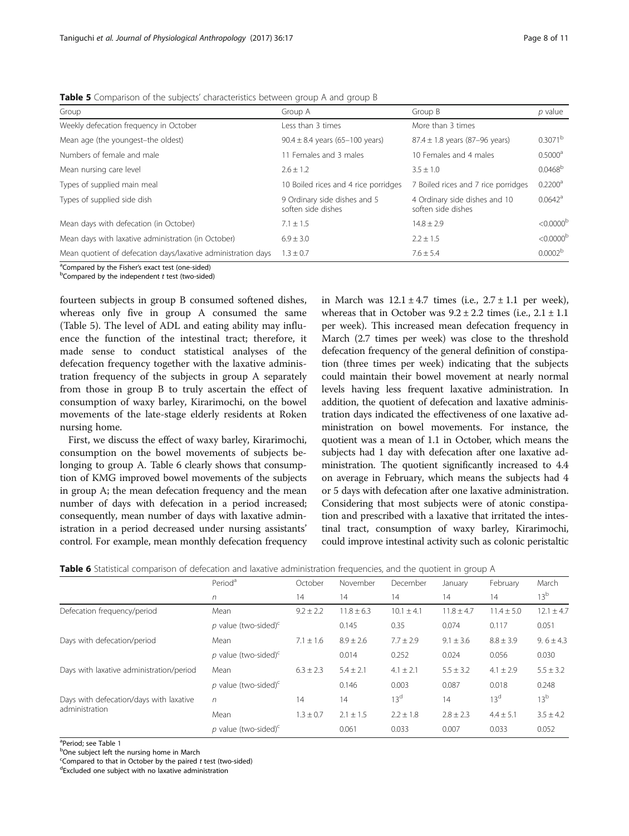| Group                                                         | Group A                                            | Group B                                             | $p$ value             |
|---------------------------------------------------------------|----------------------------------------------------|-----------------------------------------------------|-----------------------|
| Weekly defecation frequency in October                        | Less than 3 times                                  | More than 3 times                                   |                       |
| Mean age (the youngest-the oldest)                            | $90.4 \pm 8.4$ years (65-100 years)                | $87.4 \pm 1.8$ years (87-96 years)                  | 0.3071 <sup>b</sup>   |
| Numbers of female and male                                    | 11 Females and 3 males                             | 10 Females and 4 males                              | 0.5000 <sup>a</sup>   |
| Mean nursing care level                                       | $2.6 \pm 1.2$                                      | $3.5 + 1.0$                                         | 0.0468 <sup>b</sup>   |
| Types of supplied main meal                                   | 10 Boiled rices and 4 rice porridges               | 7 Boiled rices and 7 rice porridges                 | 0.2200 <sup>a</sup>   |
| Types of supplied side dish                                   | 9 Ordinary side dishes and 5<br>soften side dishes | 4 Ordinary side dishes and 10<br>soften side dishes | 0.0642a               |
| Mean days with defecation (in October)                        | $7.1 \pm 1.5$                                      | $14.8 \pm 2.9$                                      | < 0.0000 <sup>b</sup> |
| Mean days with laxative administration (in October)           | $6.9 + 3.0$                                        | $2.2 \pm 1.5$                                       | < 0.0000 <sup>b</sup> |
| Mean quotient of defecation days/laxative administration days | $1.3 \pm 0.7$                                      | $7.6 \pm 5.4$                                       | 0.0002 <sup>b</sup>   |
|                                                               |                                                    |                                                     |                       |

<span id="page-7-0"></span>Table 5 Comparison of the subjects' characteristics between group A and group B

<sup>a</sup> Compared by the Fisher's exact test (one-sided) by the independent t test (two-sided)

 $b$ Compared by the independent  $t$  test (two-sided)

fourteen subjects in group B consumed softened dishes, whereas only five in group A consumed the same (Table 5). The level of ADL and eating ability may influence the function of the intestinal tract; therefore, it made sense to conduct statistical analyses of the defecation frequency together with the laxative administration frequency of the subjects in group A separately from those in group B to truly ascertain the effect of consumption of waxy barley, Kirarimochi, on the bowel movements of the late-stage elderly residents at Roken nursing home.

First, we discuss the effect of waxy barley, Kirarimochi, consumption on the bowel movements of subjects belonging to group A. Table 6 clearly shows that consumption of KMG improved bowel movements of the subjects in group A; the mean defecation frequency and the mean number of days with defecation in a period increased; consequently, mean number of days with laxative administration in a period decreased under nursing assistants' control. For example, mean monthly defecation frequency in March was  $12.1 \pm 4.7$  times (i.e.,  $2.7 \pm 1.1$  per week), whereas that in October was  $9.2 \pm 2.2$  times (i.e.,  $2.1 \pm 1.1$ ) per week). This increased mean defecation frequency in March (2.7 times per week) was close to the threshold defecation frequency of the general definition of constipation (three times per week) indicating that the subjects could maintain their bowel movement at nearly normal levels having less frequent laxative administration. In addition, the quotient of defecation and laxative administration days indicated the effectiveness of one laxative administration on bowel movements. For instance, the quotient was a mean of 1.1 in October, which means the subjects had 1 day with defecation after one laxative administration. The quotient significantly increased to 4.4 on average in February, which means the subjects had 4 or 5 days with defecation after one laxative administration. Considering that most subjects were of atonic constipation and prescribed with a laxative that irritated the intestinal tract, consumption of waxy barley, Kirarimochi, could improve intestinal activity such as colonic peristaltic

|                                          | Period <sup>a</sup>            | October       | November       | December        | January        | February        | March           |
|------------------------------------------|--------------------------------|---------------|----------------|-----------------|----------------|-----------------|-----------------|
|                                          | n                              | 14            | 14             | 14              | 14             | 14              | 13 <sup>b</sup> |
| Defecation frequency/period              | Mean                           | $9.2 \pm 2.2$ | $11.8 \pm 6.3$ | $10.1 \pm 4.1$  | $11.8 \pm 4.7$ | $11.4 \pm 5.0$  | $12.1 \pm 4.7$  |
|                                          | p value (two-sided) $\text{C}$ |               | 0.145          | 0.35            | 0.074          | 0.117           | 0.051           |
| Days with defecation/period              | Mean                           | $7.1 \pm 1.6$ | $8.9 \pm 2.6$  | $7.7 \pm 2.9$   | $9.1 \pm 3.6$  | $8.8 \pm 3.9$   | 9.6 $\pm$ 4.3   |
|                                          | p value (two-sided) $\text{C}$ |               | 0.014          | 0.252           | 0.024          | 0.056           | 0.030           |
| Days with laxative administration/period | Mean                           | $6.3 \pm 2.3$ | $5.4 \pm 2.1$  | $4.1 \pm 2.1$   | $5.5 \pm 3.2$  | $4.1 \pm 2.9$   | $5.5 \pm 3.2$   |
|                                          | p value (two-sided) $\epsilon$ |               | 0.146          | 0.003           | 0.087          | 0.018           | 0.248           |
| Days with defecation/days with laxative  | $\sqrt{n}$                     | 14            | 14             | 13 <sup>d</sup> | 14             | 13 <sup>d</sup> | 13 <sup>b</sup> |
| administration                           | Mean                           | $1.3 \pm 0.7$ | $2.1 \pm 1.5$  | $2.2 \pm 1.8$   | $2.8 \pm 2.3$  | $4.4 \pm 5.1$   | $3.5 \pm 4.2$   |
|                                          | p value (two-sided) $\epsilon$ |               | 0.061          | 0.033           | 0.007          | 0.033           | 0.052           |

Table 6 Statistical comparison of defecation and laxative administration frequencies, and the quotient in group A

<sup>a</sup>Period; see Table [1](#page-2-0)<br><sup>b</sup>One subject left the

**b**One subject left the nursing home in March

Compared to that in October by the paired t test (two-sided)<sup>d</sup> Excluded one subject with no laxative administration

Excluded one subject with no laxative administration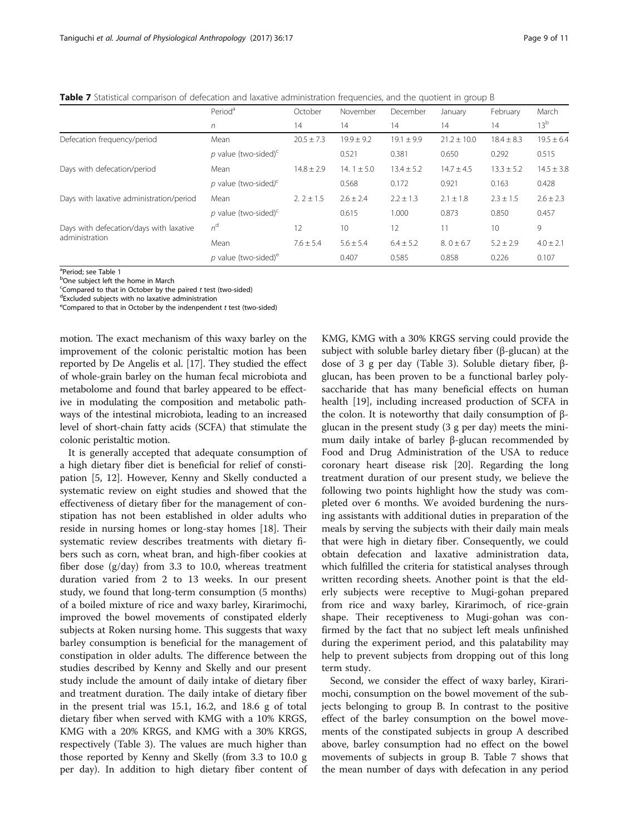<span id="page-8-0"></span>Table 7 Statistical comparison of defecation and laxative administration frequencies, and the quotient in group B

|                                          | Period <sup>a</sup>              | October        | November        | December      | January       | February       | March           |
|------------------------------------------|----------------------------------|----------------|-----------------|---------------|---------------|----------------|-----------------|
|                                          | $\eta$                           | 14             | 14              | 14            | 14            | 14             | 13 <sup>b</sup> |
| Defecation frequency/period              | Mean                             | $20.5 \pm 7.3$ | $19.9 + 9.2$    | $19.1 + 9.9$  | $21.2 + 10.0$ | $18.4 + 8.3$   | $19.5 \pm 6.4$  |
|                                          | p value (two-sided) $\text{C}$   |                | 0.521           | 0.381         | 0.650         | 0.292          | 0.515           |
| Days with defecation/period              | Mean                             | $14.8 \pm 2.9$ | 14. $1 \pm 5.0$ | $13.4 + 5.2$  | $14.7 + 4.5$  | $13.3 \pm 5.2$ | $14.5 \pm 3.8$  |
|                                          | p value (two-sided) $\text{C}$   |                | 0.568           | 0.172         | 0.921         | 0.163          | 0.428           |
| Days with laxative administration/period | Mean                             | $2.2 \pm 1.5$  | $2.6 + 2.4$     | $2.2 \pm 1.3$ | $2.1 \pm 1.8$ | $2.3 + 1.5$    | $2.6 \pm 2.3$   |
|                                          | p value (two-sided) $\epsilon$   |                | 0.615           | 1.000         | 0.873         | 0.850          | 0.457           |
| Days with defecation/days with laxative  | $n^{d}$                          | 12             | 10              | 12            | 11            | 10             | 9               |
| administration                           | Mean                             | $7.6 \pm 5.4$  | $5.6 \pm 5.4$   | $6.4 \pm 5.2$ | $8.0 \pm 6.7$ | $5.2 \pm 2.9$  | $4.0 \pm 2.1$   |
|                                          | p value (two-sided) <sup>e</sup> |                | 0.407           | 0.585         | 0.858         | 0.226          | 0.107           |

<sup>a</sup>Period; see Table [1](#page-2-0)<br><sup>b</sup>One subject left th

One subject left the home in March

Compared to that in October by the paired t test (two-sided)<sup>d</sup> Excluded subjects with no lavative administration

Excluded subjects with no laxative administration

<sup>e</sup>Compared to that in October by the indenpendent t test (two-sided)

motion. The exact mechanism of this waxy barley on the improvement of the colonic peristaltic motion has been reported by De Angelis et al. [[17](#page-10-0)]. They studied the effect of whole-grain barley on the human fecal microbiota and metabolome and found that barley appeared to be effective in modulating the composition and metabolic pathways of the intestinal microbiota, leading to an increased level of short-chain fatty acids (SCFA) that stimulate the colonic peristaltic motion.

It is generally accepted that adequate consumption of a high dietary fiber diet is beneficial for relief of constipation [[5,](#page-9-0) [12\]](#page-10-0). However, Kenny and Skelly conducted a systematic review on eight studies and showed that the effectiveness of dietary fiber for the management of constipation has not been established in older adults who reside in nursing homes or long-stay homes [\[18\]](#page-10-0). Their systematic review describes treatments with dietary fibers such as corn, wheat bran, and high-fiber cookies at fiber dose (g/day) from 3.3 to 10.0, whereas treatment duration varied from 2 to 13 weeks. In our present study, we found that long-term consumption (5 months) of a boiled mixture of rice and waxy barley, Kirarimochi, improved the bowel movements of constipated elderly subjects at Roken nursing home. This suggests that waxy barley consumption is beneficial for the management of constipation in older adults. The difference between the studies described by Kenny and Skelly and our present study include the amount of daily intake of dietary fiber and treatment duration. The daily intake of dietary fiber in the present trial was 15.1, 16.2, and 18.6 g of total dietary fiber when served with KMG with a 10% KRGS, KMG with a 20% KRGS, and KMG with a 30% KRGS, respectively (Table [3\)](#page-4-0). The values are much higher than those reported by Kenny and Skelly (from 3.3 to 10.0 g per day). In addition to high dietary fiber content of

KMG, KMG with a 30% KRGS serving could provide the subject with soluble barley dietary fiber (β-glucan) at the dose of 3 g per day (Table [3](#page-4-0)). Soluble dietary fiber, βglucan, has been proven to be a functional barley polysaccharide that has many beneficial effects on human health [\[19](#page-10-0)], including increased production of SCFA in the colon. It is noteworthy that daily consumption of βglucan in the present study (3 g per day) meets the minimum daily intake of barley β-glucan recommended by Food and Drug Administration of the USA to reduce coronary heart disease risk [\[20\]](#page-10-0). Regarding the long treatment duration of our present study, we believe the following two points highlight how the study was completed over 6 months. We avoided burdening the nursing assistants with additional duties in preparation of the meals by serving the subjects with their daily main meals that were high in dietary fiber. Consequently, we could obtain defecation and laxative administration data, which fulfilled the criteria for statistical analyses through written recording sheets. Another point is that the elderly subjects were receptive to Mugi-gohan prepared from rice and waxy barley, Kirarimoch, of rice-grain shape. Their receptiveness to Mugi-gohan was confirmed by the fact that no subject left meals unfinished during the experiment period, and this palatability may help to prevent subjects from dropping out of this long term study.

Second, we consider the effect of waxy barley, Kirarimochi, consumption on the bowel movement of the subjects belonging to group B. In contrast to the positive effect of the barley consumption on the bowel movements of the constipated subjects in group A described above, barley consumption had no effect on the bowel movements of subjects in group B. Table 7 shows that the mean number of days with defecation in any period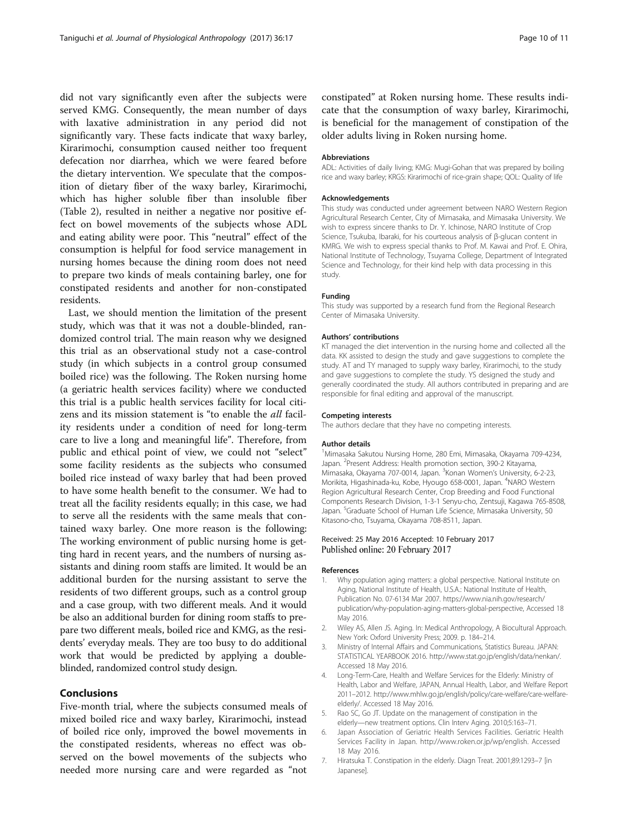<span id="page-9-0"></span>did not vary significantly even after the subjects were served KMG. Consequently, the mean number of days with laxative administration in any period did not significantly vary. These facts indicate that waxy barley, Kirarimochi, consumption caused neither too frequent defecation nor diarrhea, which we were feared before the dietary intervention. We speculate that the composition of dietary fiber of the waxy barley, Kirarimochi, which has higher soluble fiber than insoluble fiber (Table [2\)](#page-3-0), resulted in neither a negative nor positive effect on bowel movements of the subjects whose ADL and eating ability were poor. This "neutral" effect of the consumption is helpful for food service management in nursing homes because the dining room does not need to prepare two kinds of meals containing barley, one for constipated residents and another for non-constipated residents.

Last, we should mention the limitation of the present study, which was that it was not a double-blinded, randomized control trial. The main reason why we designed this trial as an observational study not a case-control study (in which subjects in a control group consumed boiled rice) was the following. The Roken nursing home (a geriatric health services facility) where we conducted this trial is a public health services facility for local citizens and its mission statement is "to enable the all facility residents under a condition of need for long-term care to live a long and meaningful life". Therefore, from public and ethical point of view, we could not "select" some facility residents as the subjects who consumed boiled rice instead of waxy barley that had been proved to have some health benefit to the consumer. We had to treat all the facility residents equally; in this case, we had to serve all the residents with the same meals that contained waxy barley. One more reason is the following: The working environment of public nursing home is getting hard in recent years, and the numbers of nursing assistants and dining room staffs are limited. It would be an additional burden for the nursing assistant to serve the residents of two different groups, such as a control group and a case group, with two different meals. And it would be also an additional burden for dining room staffs to prepare two different meals, boiled rice and KMG, as the residents' everyday meals. They are too busy to do additional work that would be predicted by applying a doubleblinded, randomized control study design.

### Conclusions

Five-month trial, where the subjects consumed meals of mixed boiled rice and waxy barley, Kirarimochi, instead of boiled rice only, improved the bowel movements in the constipated residents, whereas no effect was observed on the bowel movements of the subjects who needed more nursing care and were regarded as "not constipated" at Roken nursing home. These results indicate that the consumption of waxy barley, Kirarimochi, is beneficial for the management of constipation of the older adults living in Roken nursing home.

#### Abbreviations

ADL: Activities of daily living; KMG: Mugi-Gohan that was prepared by boiling rice and waxy barley; KRGS: Kirarimochi of rice-grain shape; QOL: Quality of life

#### Acknowledgements

This study was conducted under agreement between NARO Western Region Agricultural Research Center, City of Mimasaka, and Mimasaka University. We wish to express sincere thanks to Dr. Y. Ichinose, NARO Institute of Crop Science, Tsukuba, Ibaraki, for his courteous analysis of β-glucan content in KMRG. We wish to express special thanks to Prof. M. Kawai and Prof. E. Ohira, National Institute of Technology, Tsuyama College, Department of Integrated Science and Technology, for their kind help with data processing in this study.

#### Funding

This study was supported by a research fund from the Regional Research Center of Mimasaka University.

#### Authors' contributions

KT managed the diet intervention in the nursing home and collected all the data. KK assisted to design the study and gave suggestions to complete the study. AT and TY managed to supply waxy barley, Kirarimochi, to the study and gave suggestions to complete the study. YS designed the study and generally coordinated the study. All authors contributed in preparing and are responsible for final editing and approval of the manuscript.

#### Competing interests

The authors declare that they have no competing interests.

#### Author details

1 Mimasaka Sakutou Nursing Home, 280 Emi, Mimasaka, Okayama 709-4234, Japan. <sup>2</sup>Present Address: Health promotion section, 390-2 Kitayama, Mimasaka, Okayama 707-0014, Japan. <sup>3</sup>Konan Women's University, 6-2-23, Morikita, Higashinada-ku, Kobe, Hyougo 658-0001, Japan. <sup>4</sup>NARO Western Region Agricultural Research Center, Crop Breeding and Food Functional Components Research Division, 1-3-1 Senyu-cho, Zentsuji, Kagawa 765-8508, Japan. <sup>5</sup> Graduate School of Human Life Science, Mimasaka University, 50 Kitasono-cho, Tsuyama, Okayama 708-8511, Japan.

#### Received: 25 May 2016 Accepted: 10 February 2017 Published online: 20 February 2017

#### References

- 1. Why population aging matters: a global perspective. National Institute on Aging, National Institute of Health, U.S.A.: National Institute of Health, Publication No. 07-6134 Mar 2007. [https://www.nia.nih.gov/research/](https://www.nia.nih.gov/research/publication/why-population-aging-matters-global-perspective) [publication/why-population-aging-matters-global-perspective](https://www.nia.nih.gov/research/publication/why-population-aging-matters-global-perspective), Accessed 18 May 2016.
- 2. Wiley AS, Allen JS. Aging. In: Medical Anthropology, A Biocultural Approach. New York: Oxford University Press; 2009. p. 184–214.
- 3. Ministry of Internal Affairs and Communications, Statistics Bureau. JAPAN: STATISTICAL YEARBOOK 2016.<http://www.stat.go.jp/english/data/nenkan/>. Accessed 18 May 2016.
- 4. Long-Term-Care, Health and Welfare Services for the Elderly: Ministry of Health, Labor and Welfare, JAPAN, Annual Health, Labor, and Welfare Report 2011–2012. [http://www.mhlw.go.jp/english/policy/care-welfare/care-welfare](http://www.mhlw.go.jp/english/policy/care-welfare/care-welfare-elderly/)[elderly/](http://www.mhlw.go.jp/english/policy/care-welfare/care-welfare-elderly/). Accessed 18 May 2016.
- 5. Rao SC, Go JT. Update on the management of constipation in the elderly—new treatment options. Clin Interv Aging. 2010;5:163–71.
- 6. Japan Association of Geriatric Health Services Facilities. Geriatric Health Services Facility in Japan.<http://www.roken.or.jp/wp/english>. Accessed 18 May 2016.
- 7. Hiratsuka T. Constipation in the elderly. Diagn Treat. 2001;89:1293–7 [in Japanese].